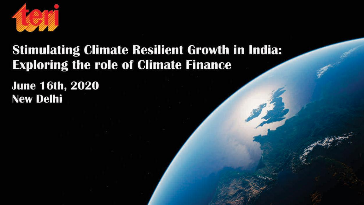

#### **Stimulating Climate Resilient Growth in India: Exploring the role of Climate Finance**

**June 16th, 2020 New Delhi**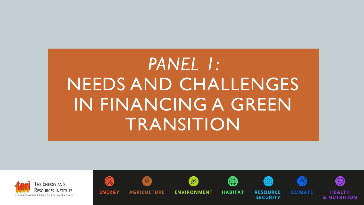# *PANEL 1:*  NEEDS AND CHALLENGES IN FINANCING A GREEN TRANSITION





**ENERGY** 

**AGRICULTURE** 

 $\bigcirc$ 

**ENVIRONMENT** 

 $\mathcal{B}$ 



**HABITAT** 





**RESOURCE** 

**SECURITY** 





**CLIMATE** 

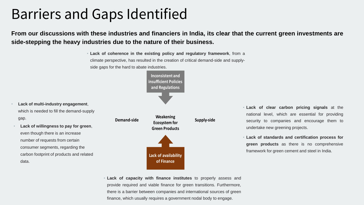### Barriers and Gaps Identified

From our discussions with these industries and financiers in India, its clear that the current green investments are **side-stepping the heavy industries due to the nature of their business.**

> • **Lack of coherence in the existing policy and regulatory framework**, from a climate perspective, has resulted in the creation of critical demand-side and supplyside gaps for the hard to abate industries.

> > **Inconsistent and insufficient Policies and Regulations**





• **Lack of clear carbon pricing signals** at the national level, which are essential for providing security to companies and encourage them to undertake new greening projects.

• **Lack of standards and certification process for green products** as there is no comprehensive framework for green cement and steel in India.

• **Lack of capacity with finance institutes** to properly assess and provide required and viable finance for green transitions. Furthermore, there is a barrier between companies and international sources of green finance, which usually requires a government nodal body to engage.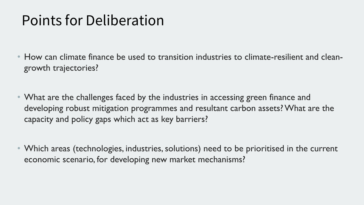### Points for Deliberation

- How can climate finance be used to transition industries to climate-resilient and cleangrowth trajectories?
- What are the challenges faced by the industries in accessing green finance and developing robust mitigation programmes and resultant carbon assets? What are the capacity and policy gaps which act as key barriers?
- Which areas (technologies, industries, solutions) need to be prioritised in the current economic scenario, for developing new market mechanisms?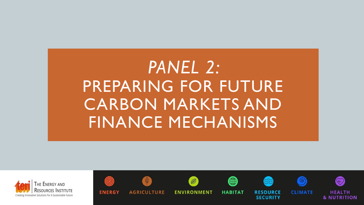# *PANEL 2:*  PREPARING FOR FUTURE CARBON MARKETS AND FINANCE MECHANISMS

 $\circledast$ 

**HEALTH** 

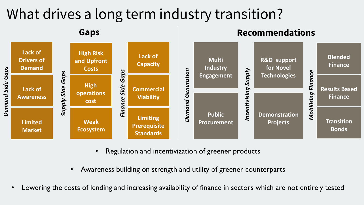### What drives a long term industry transition?



- Regulation and incentivization of greener products
- Awareness building on strength and utility of greener counterparts
- Lowering the costs of lending and increasing availability of finance in sectors which are not entirely tested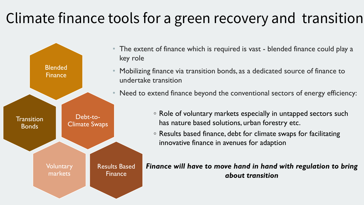## Climate finance tools for a green recovery and transition



- The extent of finance which is required is vast blended finance could play a
- Mobilizing finance via transition bonds, as a dedicated source of finance to undertake transition
- Need to extend finance beyond the conventional sectors of energy efficiency:
	- Role of voluntary markets especially in untapped sectors such has nature based solutions, urban forestry etc.
	- Results based finance, debt for climate swaps for facilitating innovative finance in avenues for adaption

*Finance will have to move hand in hand with regulation to bring about transition*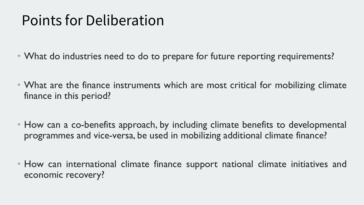### Points for Deliberation

- What do industries need to do to prepare for future reporting requirements?
- What are the finance instruments which are most critical for mobilizing climate finance in this period?
- How can a co-benefits approach, by including climate benefits to developmental programmes and vice-versa, be used in mobilizing additional climate finance?
- How can international climate finance support national climate initiatives and economic recovery?